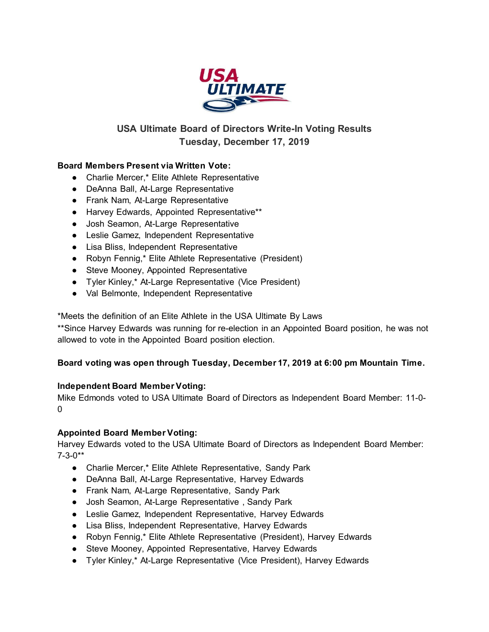

# **USA Ultimate Board of Directors Write-In Voting Results Tuesday, December 17, 2019**

## **Board Members Present via Written Vote:**

- Charlie Mercer,\* Elite Athlete Representative
- DeAnna Ball, At-Large Representative
- Frank Nam, At-Large Representative
- Harvey Edwards, Appointed Representative\*\*
- Josh Seamon, At-Large Representative
- Leslie Gamez, Independent Representative
- Lisa Bliss, Independent Representative
- Robyn Fennig,\* Elite Athlete Representative (President)
- Steve Mooney, Appointed Representative
- Tyler Kinley,\* At-Large Representative (Vice President)
- Val Belmonte, Independent Representative

\*Meets the definition of an Elite Athlete in the USA Ultimate By Laws

\*\*Since Harvey Edwards was running for re-election in an Appointed Board position, he was not allowed to vote in the Appointed Board position election.

### **Board voting was open through Tuesday, December 17, 2019 at 6:00 pm Mountain Time.**

### **Independent Board Member Voting:**

Mike Edmonds voted to USA Ultimate Board of Directors as Independent Board Member: 11-0-  $\Omega$ 

### **Appointed Board Member Voting:**

Harvey Edwards voted to the USA Ultimate Board of Directors as Independent Board Member: 7-3-0\*\*

- Charlie Mercer,\* Elite Athlete Representative, Sandy Park
- DeAnna Ball, At-Large Representative, Harvey Edwards
- Frank Nam, At-Large Representative, Sandy Park
- Josh Seamon, At-Large Representative , Sandy Park
- Leslie Gamez, Independent Representative, Harvey Edwards
- Lisa Bliss, Independent Representative, Harvey Edwards
- Robyn Fennig,\* Elite Athlete Representative (President), Harvey Edwards
- Steve Mooney, Appointed Representative, Harvey Edwards
- Tyler Kinley,\* At-Large Representative (Vice President), Harvey Edwards